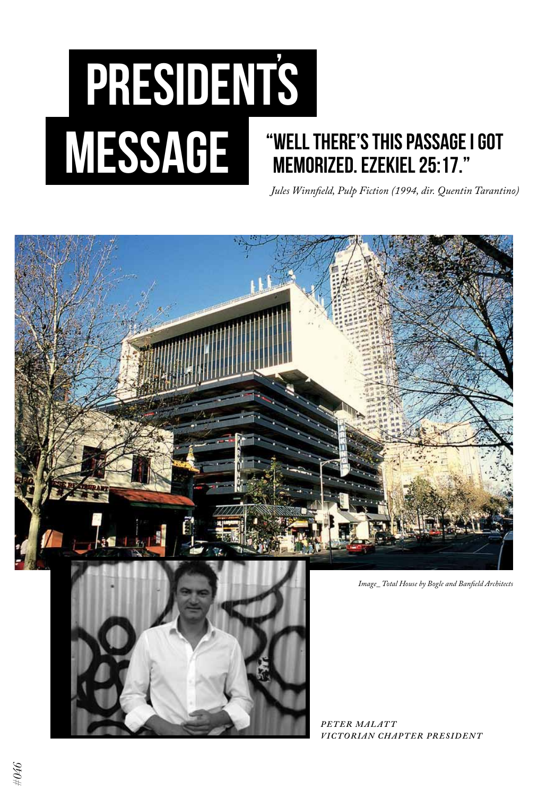## presidents message **| "Well there's this passage I got memorized. Ezekiel 25:17."**  *Jules Winnfield, Pulp Fiction (1994, dir. Quentin Tarantino)*



*Peter Malat t Victorian Chapter President*